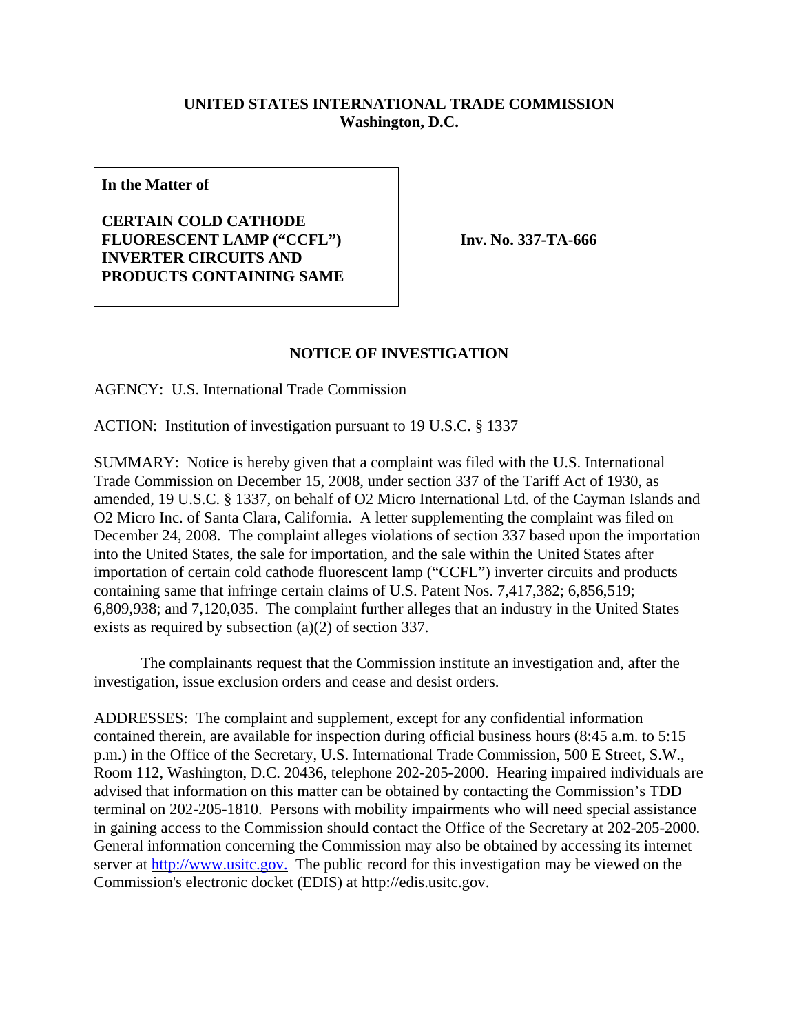## **UNITED STATES INTERNATIONAL TRADE COMMISSION Washington, D.C.**

**In the Matter of**

**CERTAIN COLD CATHODE FLUORESCENT LAMP ("CCFL") INVERTER CIRCUITS AND PRODUCTS CONTAINING SAME**

**Inv. No. 337-TA-666**

## **NOTICE OF INVESTIGATION**

AGENCY: U.S. International Trade Commission

ACTION: Institution of investigation pursuant to 19 U.S.C. § 1337

SUMMARY: Notice is hereby given that a complaint was filed with the U.S. International Trade Commission on December 15, 2008, under section 337 of the Tariff Act of 1930, as amended, 19 U.S.C. § 1337, on behalf of O2 Micro International Ltd. of the Cayman Islands and O2 Micro Inc. of Santa Clara, California. A letter supplementing the complaint was filed on December 24, 2008. The complaint alleges violations of section 337 based upon the importation into the United States, the sale for importation, and the sale within the United States after importation of certain cold cathode fluorescent lamp ("CCFL") inverter circuits and products containing same that infringe certain claims of U.S. Patent Nos. 7,417,382; 6,856,519; 6,809,938; and 7,120,035. The complaint further alleges that an industry in the United States exists as required by subsection (a)(2) of section 337.

The complainants request that the Commission institute an investigation and, after the investigation, issue exclusion orders and cease and desist orders.

ADDRESSES: The complaint and supplement, except for any confidential information contained therein, are available for inspection during official business hours (8:45 a.m. to 5:15 p.m.) in the Office of the Secretary, U.S. International Trade Commission, 500 E Street, S.W., Room 112, Washington, D.C. 20436, telephone 202-205-2000. Hearing impaired individuals are advised that information on this matter can be obtained by contacting the Commission's TDD terminal on 202-205-1810. Persons with mobility impairments who will need special assistance in gaining access to the Commission should contact the Office of the Secretary at 202-205-2000. General information concerning the Commission may also be obtained by accessing its internet server at http://www.usitc.gov. The public record for this investigation may be viewed on the Commission's electronic docket (EDIS) at http://edis.usitc.gov.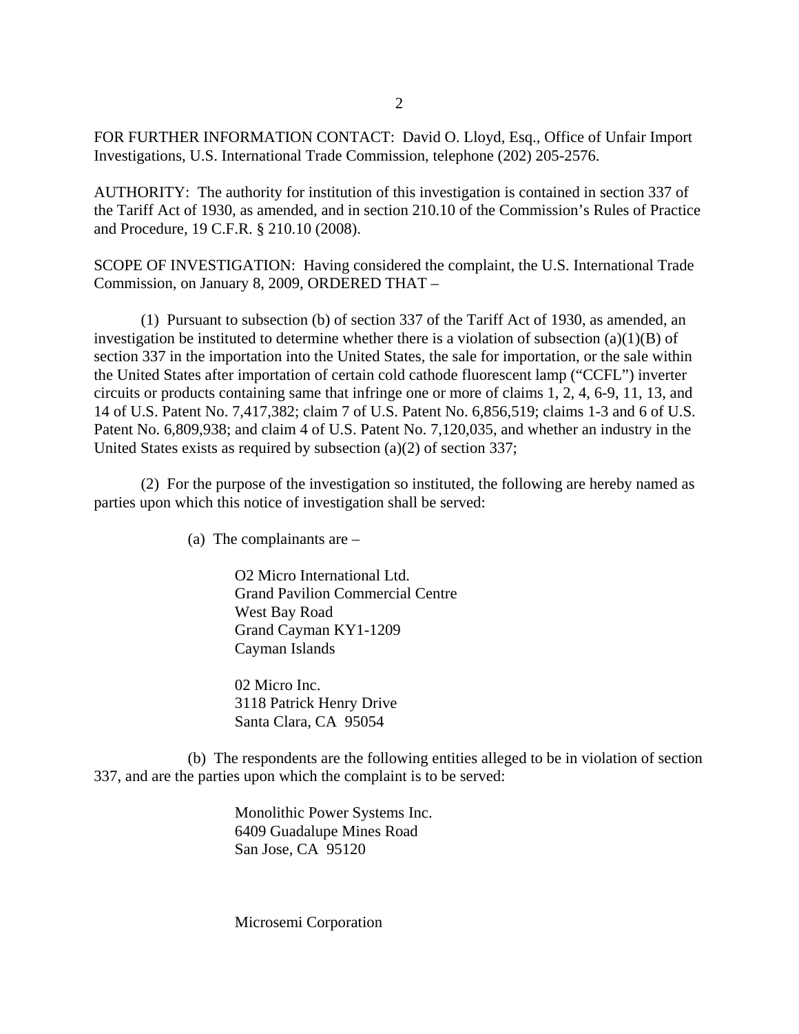FOR FURTHER INFORMATION CONTACT: David O. Lloyd, Esq., Office of Unfair Import Investigations, U.S. International Trade Commission, telephone (202) 205-2576.

AUTHORITY: The authority for institution of this investigation is contained in section 337 of the Tariff Act of 1930, as amended, and in section 210.10 of the Commission's Rules of Practice and Procedure, 19 C.F.R. § 210.10 (2008).

SCOPE OF INVESTIGATION: Having considered the complaint, the U.S. International Trade Commission, on January 8, 2009, ORDERED THAT –

(1) Pursuant to subsection (b) of section 337 of the Tariff Act of 1930, as amended, an investigation be instituted to determine whether there is a violation of subsection  $(a)(1)(B)$  of section 337 in the importation into the United States, the sale for importation, or the sale within the United States after importation of certain cold cathode fluorescent lamp ("CCFL") inverter circuits or products containing same that infringe one or more of claims 1, 2, 4, 6-9, 11, 13, and 14 of U.S. Patent No. 7,417,382; claim 7 of U.S. Patent No. 6,856,519; claims 1-3 and 6 of U.S. Patent No. 6,809,938; and claim 4 of U.S. Patent No. 7,120,035, and whether an industry in the United States exists as required by subsection (a)(2) of section 337;

(2) For the purpose of the investigation so instituted, the following are hereby named as parties upon which this notice of investigation shall be served:

(a) The complainants are –

O2 Micro International Ltd. Grand Pavilion Commercial Centre West Bay Road Grand Cayman KY1-1209 Cayman Islands

02 Micro Inc. 3118 Patrick Henry Drive Santa Clara, CA 95054

(b) The respondents are the following entities alleged to be in violation of section 337, and are the parties upon which the complaint is to be served:

> Monolithic Power Systems Inc. 6409 Guadalupe Mines Road San Jose, CA 95120

Microsemi Corporation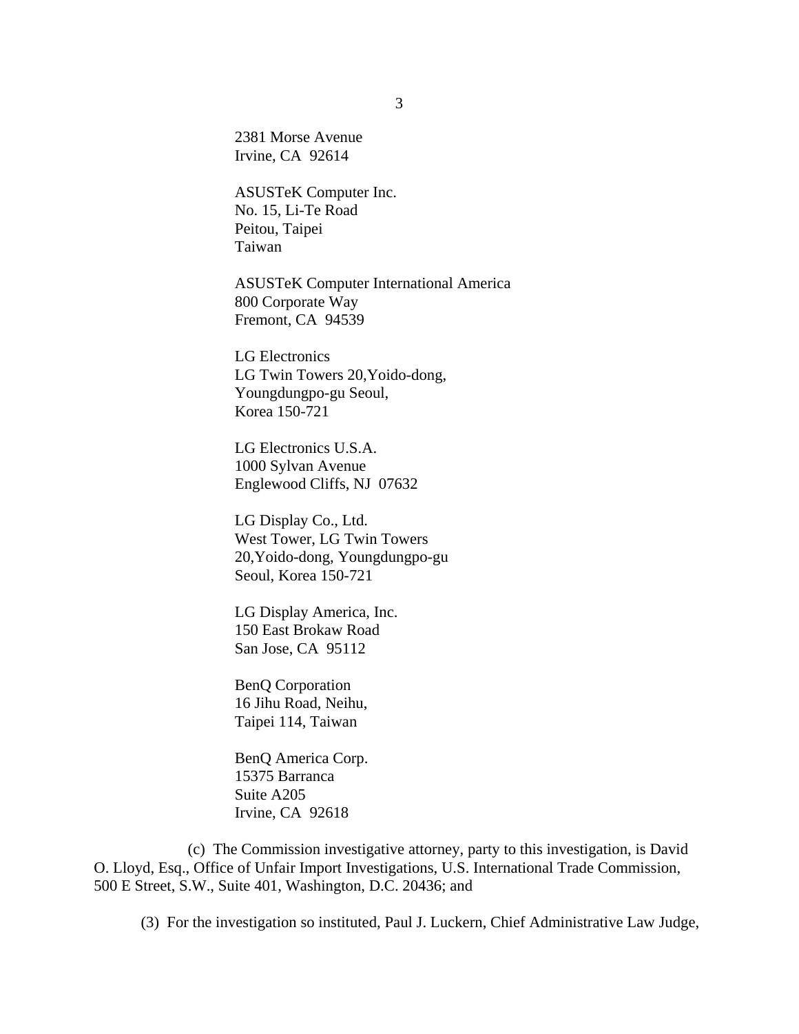2381 Morse Avenue Irvine, CA 92614

ASUSTeK Computer Inc. No. 15, Li-Te Road Peitou, Taipei Taiwan

ASUSTeK Computer International America 800 Corporate Way Fremont, CA 94539

LG Electronics LG Twin Towers 20,Yoido-dong, Youngdungpo-gu Seoul, Korea 150-721

LG Electronics U.S.A. 1000 Sylvan Avenue Englewood Cliffs, NJ 07632

LG Display Co., Ltd. West Tower, LG Twin Towers 20,Yoido-dong, Youngdungpo-gu Seoul, Korea 150-721

LG Display America, Inc. 150 East Brokaw Road San Jose, CA 95112

BenQ Corporation 16 Jihu Road, Neihu, Taipei 114, Taiwan

BenQ America Corp. 15375 Barranca Suite A205 Irvine, CA 92618

(c) The Commission investigative attorney, party to this investigation, is David O. Lloyd, Esq., Office of Unfair Import Investigations, U.S. International Trade Commission, 500 E Street, S.W., Suite 401, Washington, D.C. 20436; and

(3) For the investigation so instituted, Paul J. Luckern, Chief Administrative Law Judge,